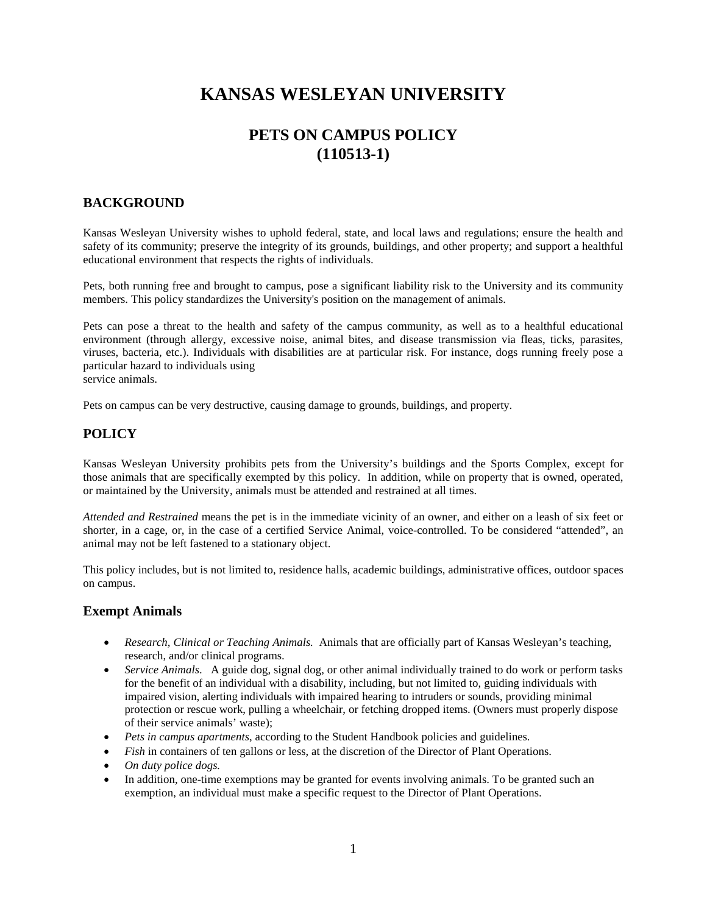# **KANSAS WESLEYAN UNIVERSITY**

## **PETS ON CAMPUS POLICY (110513-1)**

### **BACKGROUND**

Kansas Wesleyan University wishes to uphold federal, state, and local laws and regulations; ensure the health and safety of its community; preserve the integrity of its grounds, buildings, and other property; and support a healthful educational environment that respects the rights of individuals.

Pets, both running free and brought to campus, pose a significant liability risk to the University and its community members. This policy standardizes the University's position on the management of animals.

Pets can pose a threat to the health and safety of the campus community, as well as to a healthful educational environment (through allergy, excessive noise, animal bites, and disease transmission via fleas, ticks, parasites, viruses, bacteria, etc.). Individuals with disabilities are at particular risk. For instance, dogs running freely pose a particular hazard to individuals using service animals.

Pets on campus can be very destructive, causing damage to grounds, buildings, and property.

### **POLICY**

Kansas Wesleyan University prohibits pets from the University's buildings and the Sports Complex, except for those animals that are specifically exempted by this policy. In addition, while on property that is owned, operated, or maintained by the University, animals must be attended and restrained at all times.

*Attended and Restrained* means the pet is in the immediate vicinity of an owner, and either on a leash of six feet or shorter, in a cage, or, in the case of a certified Service Animal, voice-controlled. To be considered "attended", an animal may not be left fastened to a stationary object.

This policy includes, but is not limited to, residence halls, academic buildings, administrative offices, outdoor spaces on campus.

#### **Exempt Animals**

- *Research, Clinical or Teaching Animals.* Animals that are officially part of Kansas Wesleyan's teaching, research, and/or clinical programs.
- *Service Animals.* A guide dog, signal dog, or other animal individually trained to do work or perform tasks for the benefit of an individual with a disability, including, but not limited to, guiding individuals with impaired vision, alerting individuals with impaired hearing to intruders or sounds, providing minimal protection or rescue work, pulling a wheelchair, or fetching dropped items. (Owners must properly dispose of their service animals' waste);
- *Pets in campus apartments*, according to the Student Handbook policies and guidelines.
- *Fish* in containers of ten gallons or less, at the discretion of the Director of Plant Operations.
- *On duty police dogs.*
- In addition, one-time exemptions may be granted for events involving animals. To be granted such an exemption, an individual must make a specific request to the Director of Plant Operations.